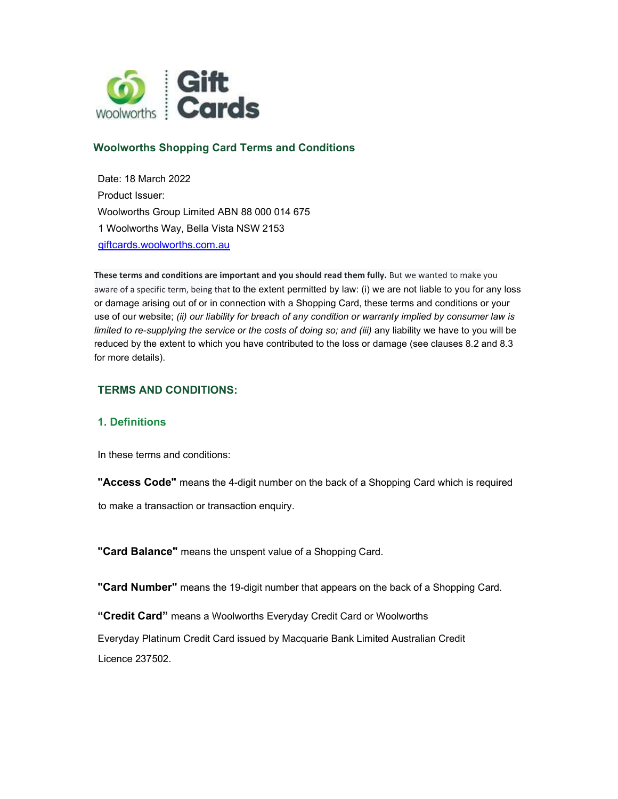

# Woolworths Shopping Card Terms and Conditions

Date: 18 March 2022 Product Issuer: Woolworths Group Limited ABN 88 000 014 675 1 Woolworths Way, Bella Vista NSW 2153 giftcards.woolworths.com.au

These terms and conditions are important and you should read them fully. But we wanted to make you aware of a specific term, being that to the extent permitted by law: (i) we are not liable to you for any loss or damage arising out of or in connection with a Shopping Card, these terms and conditions or your use of our website; (ii) our liability for breach of any condition or warranty implied by consumer law is limited to re-supplying the service or the costs of doing so; and (iii) any liability we have to you will be reduced by the extent to which you have contributed to the loss or damage (see clauses 8.2 and 8.3 for more details).

#### TERMS AND CONDITIONS:

### 1. Definitions

In these terms and conditions:

"Access Code" means the 4-digit number on the back of a Shopping Card which is required

to make a transaction or transaction enquiry.

"Card Balance" means the unspent value of a Shopping Card.

"Card Number" means the 19-digit number that appears on the back of a Shopping Card.

"Credit Card" means a Woolworths Everyday Credit Card or Woolworths

Everyday Platinum Credit Card issued by Macquarie Bank Limited Australian Credit Licence 237502.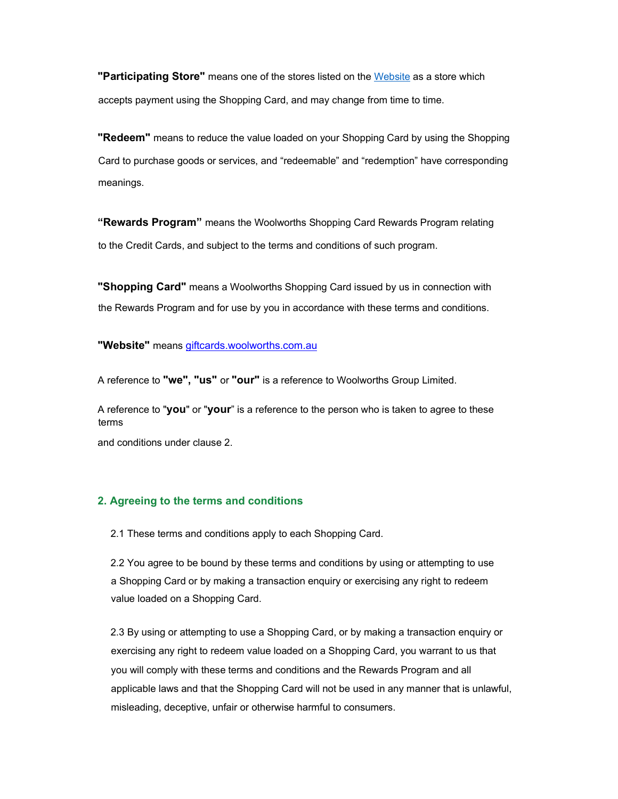**"Participating Store"** means one of the stores listed on the Website as a store which accepts payment using the Shopping Card, and may change from time to time.

**"Redeem"** means to reduce the value loaded on your Shopping Card by using the Shopping Card to purchase goods or services, and "redeemable" and "redemption" have corresponding meanings.

"Rewards Program" means the Woolworths Shopping Card Rewards Program relating to the Credit Cards, and subject to the terms and conditions of such program.

**"Shopping Card"** means a Woolworths Shopping Card issued by us in connection with the Rewards Program and for use by you in accordance with these terms and conditions.

"Website" means **giftcards**, woolworths.com.au

A reference to "we", "us" or "our" is a reference to Woolworths Group Limited.

A reference to "you" or "your" is a reference to the person who is taken to agree to these terms

and conditions under clause 2.

#### 2. Agreeing to the terms and conditions

2.1 These terms and conditions apply to each Shopping Card.

2.2 You agree to be bound by these terms and conditions by using or attempting to use a Shopping Card or by making a transaction enquiry or exercising any right to redeem value loaded on a Shopping Card.

2.3 By using or attempting to use a Shopping Card, or by making a transaction enquiry or exercising any right to redeem value loaded on a Shopping Card, you warrant to us that you will comply with these terms and conditions and the Rewards Program and all applicable laws and that the Shopping Card will not be used in any manner that is unlawful, misleading, deceptive, unfair or otherwise harmful to consumers.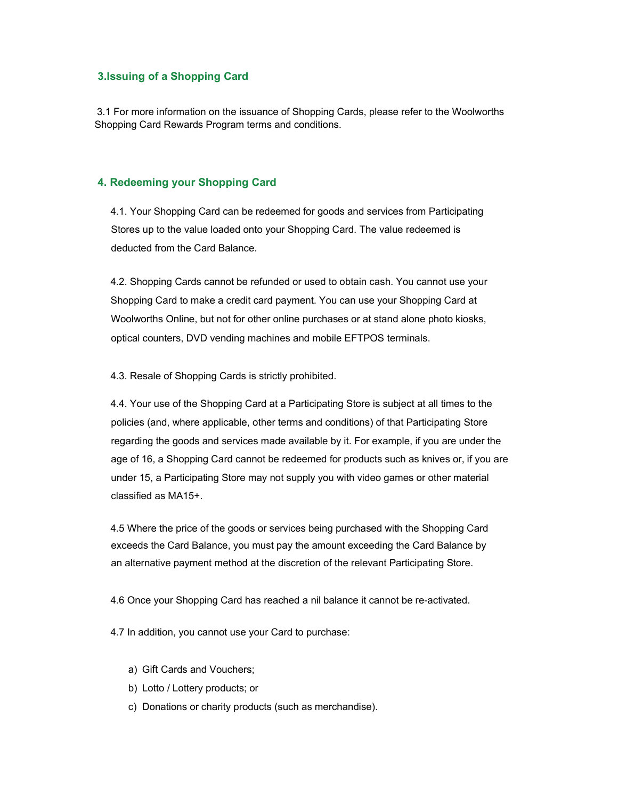#### 3.Issuing of a Shopping Card

 3.1 For more information on the issuance of Shopping Cards, please refer to the Woolworths Shopping Card Rewards Program terms and conditions.

### 4. Redeeming your Shopping Card

4.1. Your Shopping Card can be redeemed for goods and services from Participating Stores up to the value loaded onto your Shopping Card. The value redeemed is deducted from the Card Balance.

4.2. Shopping Cards cannot be refunded or used to obtain cash. You cannot use your Shopping Card to make a credit card payment. You can use your Shopping Card at Woolworths Online, but not for other online purchases or at stand alone photo kiosks, optical counters, DVD vending machines and mobile EFTPOS terminals.

4.3. Resale of Shopping Cards is strictly prohibited.

4.4. Your use of the Shopping Card at a Participating Store is subject at all times to the policies (and, where applicable, other terms and conditions) of that Participating Store regarding the goods and services made available by it. For example, if you are under the age of 16, a Shopping Card cannot be redeemed for products such as knives or, if you are under 15, a Participating Store may not supply you with video games or other material classified as MA15+.

4.5 Where the price of the goods or services being purchased with the Shopping Card exceeds the Card Balance, you must pay the amount exceeding the Card Balance by an alternative payment method at the discretion of the relevant Participating Store.

4.6 Once your Shopping Card has reached a nil balance it cannot be re-activated.

4.7 In addition, you cannot use your Card to purchase:

- a) Gift Cards and Vouchers;
- b) Lotto / Lottery products; or
- c) Donations or charity products (such as merchandise).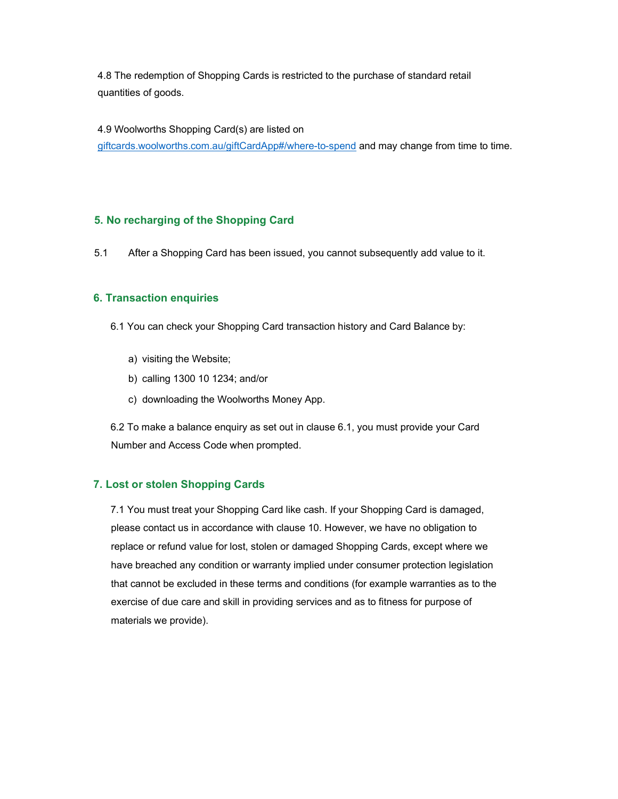4.8 The redemption of Shopping Cards is restricted to the purchase of standard retail quantities of goods.

4.9 Woolworths Shopping Card(s) are listed on

giftcards.woolworths.com.au/giftCardApp#/where-to-spend and may change from time to time.

### 5. No recharging of the Shopping Card

5.1 After a Shopping Card has been issued, you cannot subsequently add value to it.

### 6. Transaction enquiries

- 6.1 You can check your Shopping Card transaction history and Card Balance by:
	- a) visiting the Website;
	- b) calling 1300 10 1234; and/or
	- c) downloading the Woolworths Money App.

6.2 To make a balance enquiry as set out in clause 6.1, you must provide your Card Number and Access Code when prompted.

#### 7. Lost or stolen Shopping Cards

7.1 You must treat your Shopping Card like cash. If your Shopping Card is damaged, please contact us in accordance with clause 10. However, we have no obligation to replace or refund value for lost, stolen or damaged Shopping Cards, except where we have breached any condition or warranty implied under consumer protection legislation that cannot be excluded in these terms and conditions (for example warranties as to the exercise of due care and skill in providing services and as to fitness for purpose of materials we provide).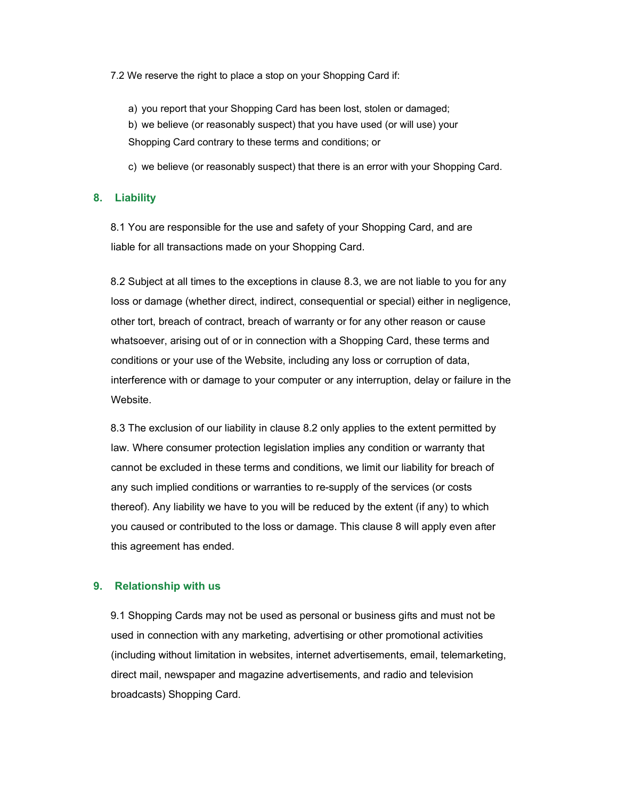7.2 We reserve the right to place a stop on your Shopping Card if:

a) you report that your Shopping Card has been lost, stolen or damaged; b) we believe (or reasonably suspect) that you have used (or will use) your Shopping Card contrary to these terms and conditions; or

c) we believe (or reasonably suspect) that there is an error with your Shopping Card.

#### 8. Liability

8.1 You are responsible for the use and safety of your Shopping Card, and are liable for all transactions made on your Shopping Card.

8.2 Subject at all times to the exceptions in clause 8.3, we are not liable to you for any loss or damage (whether direct, indirect, consequential or special) either in negligence, other tort, breach of contract, breach of warranty or for any other reason or cause whatsoever, arising out of or in connection with a Shopping Card, these terms and conditions or your use of the Website, including any loss or corruption of data, interference with or damage to your computer or any interruption, delay or failure in the Website.

8.3 The exclusion of our liability in clause 8.2 only applies to the extent permitted by law. Where consumer protection legislation implies any condition or warranty that cannot be excluded in these terms and conditions, we limit our liability for breach of any such implied conditions or warranties to re-supply of the services (or costs thereof). Any liability we have to you will be reduced by the extent (if any) to which you caused or contributed to the loss or damage. This clause 8 will apply even after this agreement has ended.

#### 9. Relationship with us

9.1 Shopping Cards may not be used as personal or business gifts and must not be used in connection with any marketing, advertising or other promotional activities (including without limitation in websites, internet advertisements, email, telemarketing, direct mail, newspaper and magazine advertisements, and radio and television broadcasts) Shopping Card.